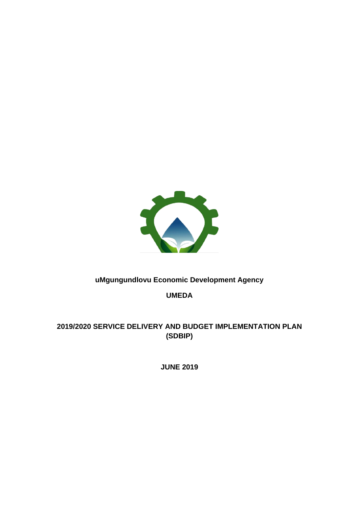

## **uMgungundlovu Economic Development Agency**

**UMEDA**

# **2019/2020 SERVICE DELIVERY AND BUDGET IMPLEMENTATION PLAN (SDBIP)**

**JUNE 2019**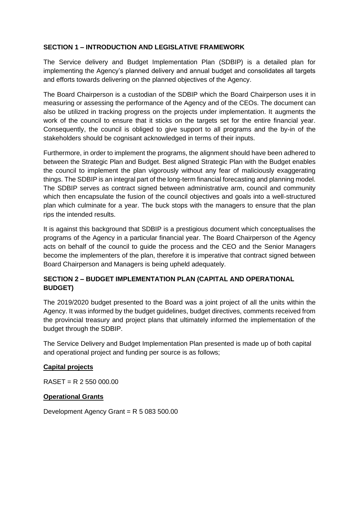#### **SECTION 1 – INTRODUCTION AND LEGISLATIVE FRAMEWORK**

The Service delivery and Budget Implementation Plan (SDBIP) is a detailed plan for implementing the Agency's planned delivery and annual budget and consolidates all targets and efforts towards delivering on the planned objectives of the Agency.

The Board Chairperson is a custodian of the SDBIP which the Board Chairperson uses it in measuring or assessing the performance of the Agency and of the CEOs. The document can also be utilized in tracking progress on the projects under implementation. It augments the work of the council to ensure that it sticks on the targets set for the entire financial year. Consequently, the council is obliged to give support to all programs and the by-in of the stakeholders should be cognisant acknowledged in terms of their inputs.

Furthermore, in order to implement the programs, the alignment should have been adhered to between the Strategic Plan and Budget. Best aligned Strategic Plan with the Budget enables the council to implement the plan vigorously without any fear of maliciously exaggerating things. The SDBIP is an integral part of the long-term financial forecasting and planning model. The SDBIP serves as contract signed between administrative arm, council and community which then encapsulate the fusion of the council objectives and goals into a well-structured plan which culminate for a year. The buck stops with the managers to ensure that the plan rips the intended results.

It is against this background that SDBIP is a prestigious document which conceptualises the programs of the Agency in a particular financial year. The Board Chairperson of the Agency acts on behalf of the council to guide the process and the CEO and the Senior Managers become the implementers of the plan, therefore it is imperative that contract signed between Board Chairperson and Managers is being upheld adequately.

### **SECTION 2 – BUDGET IMPLEMENTATION PLAN (CAPITAL AND OPERATIONAL BUDGET)**

The 2019/2020 budget presented to the Board was a joint project of all the units within the Agency. It was informed by the budget guidelines, budget directives, comments received from the provincial treasury and project plans that ultimately informed the implementation of the budget through the SDBIP.

The Service Delivery and Budget Implementation Plan presented is made up of both capital and operational project and funding per source is as follows;

#### **Capital projects**

RASET = R 2 550 000.00

#### **Operational Grants**

Development Agency Grant = R 5 083 500.00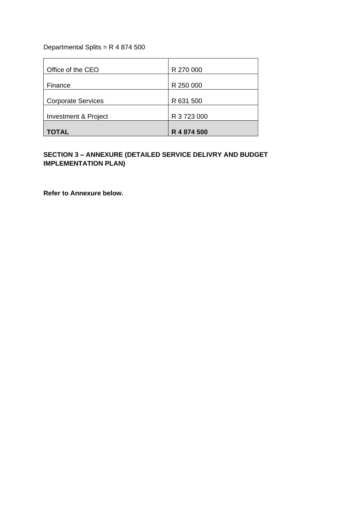Departmental Splits = R 4 874 500

| Office of the CEO         | R 270 000   |
|---------------------------|-------------|
| Finance                   | R 250 000   |
| <b>Corporate Services</b> | R 631 500   |
| Investment & Project      | R 3 723 000 |
| TOTAL                     | R 4 874 500 |

## **SECTION 3 – ANNEXURE (DETAILED SERVICE DELIVRY AND BUDGET IMPLEMENTATION PLAN)**

**Refer to Annexure below.**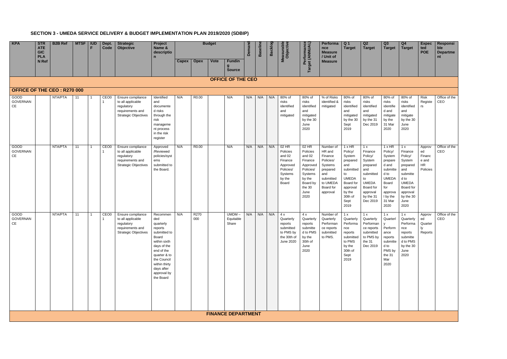# **SECTION 3 - UMEDA SERVICE DELIVERY & BUDGET IMPLEMENTATION PLAN 2019/2020 (SDBIP)**

| KPA                                      | <b>STR</b><br><b>ATE</b><br><b>GIC</b><br><b>PLA</b> | <b>B2B Ref</b> | <b>MTSF</b> | <b>IUD</b><br>E | Dept.<br>Code    | <b>Strategic</b><br>Objective                                                                           | Project<br>Name &<br>descriptio<br>$\mathbf n$                                                                                                                                                          |              |                   | <b>Budget</b> |                                   | Demano | <b>Baselin</b> | <b>Backlog</b> | leasurable<br>Objective                                                                         | Target (ANNUAL)<br>$\mathbf o$<br>forman                                                                                   | Performa<br>nce<br><b>Measure</b><br>/ Unit of                                                                              | Q <sub>1</sub><br><b>Target</b>                                                                                                                        | Q2<br><b>Target</b>                                                                                                                         | Q3<br><b>Target</b>                                                                                                                           | Q4<br><b>Target</b>                                                                                                                             | <b>Expec</b><br>ted<br><b>POE</b>                        | Responsi<br>ble<br><b>Departme</b><br>nt |
|------------------------------------------|------------------------------------------------------|----------------|-------------|-----------------|------------------|---------------------------------------------------------------------------------------------------------|---------------------------------------------------------------------------------------------------------------------------------------------------------------------------------------------------------|--------------|-------------------|---------------|-----------------------------------|--------|----------------|----------------|-------------------------------------------------------------------------------------------------|----------------------------------------------------------------------------------------------------------------------------|-----------------------------------------------------------------------------------------------------------------------------|--------------------------------------------------------------------------------------------------------------------------------------------------------|---------------------------------------------------------------------------------------------------------------------------------------------|-----------------------------------------------------------------------------------------------------------------------------------------------|-------------------------------------------------------------------------------------------------------------------------------------------------|----------------------------------------------------------|------------------------------------------|
|                                          | N Ref                                                |                |             |                 |                  |                                                                                                         |                                                                                                                                                                                                         | <b>Capex</b> | <b>Opex</b>       | <b>Vote</b>   | <b>Fundin</b><br><b>Source</b>    |        |                |                |                                                                                                 |                                                                                                                            | <b>Measure</b>                                                                                                              |                                                                                                                                                        |                                                                                                                                             |                                                                                                                                               |                                                                                                                                                 |                                                          |                                          |
|                                          |                                                      |                |             |                 |                  |                                                                                                         |                                                                                                                                                                                                         |              |                   |               | <b>OFFICE OF THE CEO</b>          |        |                |                |                                                                                                 |                                                                                                                            |                                                                                                                             |                                                                                                                                                        |                                                                                                                                             |                                                                                                                                               |                                                                                                                                                 |                                                          |                                          |
| <b>OFFICE OF THE CEO: R270 000</b>       |                                                      |                |             |                 |                  |                                                                                                         |                                                                                                                                                                                                         |              |                   |               |                                   |        |                |                |                                                                                                 |                                                                                                                            |                                                                                                                             |                                                                                                                                                        |                                                                                                                                             |                                                                                                                                               |                                                                                                                                                 |                                                          |                                          |
| GOOD<br><b>GOVERNAN</b><br>CE            |                                                      | NTA/PTA        | 11          |                 | CEO <sub>0</sub> | Ensure compliance<br>to all applicable<br>regulatory<br>requirements and<br><b>Strategic Objectives</b> | Identified<br>and<br>documente<br>d risks<br>through the<br>risk<br>manageme<br>nt process<br>in the risk<br>register                                                                                   | N/A          | R <sub>0.00</sub> |               | N/A                               | N/A    | N/A            | N/A            | 80% of<br>risks<br>identified<br>and<br>mitigated                                               | 80% of<br>risks<br>identified<br>and<br>mitigated<br>by the 30<br>June<br>2020                                             | % of Risks<br>identified &<br>mitigated                                                                                     | 80% of<br>risks<br>identified<br>and<br>mitigated<br>by the 30<br>Sept<br>2019                                                                         | 80% of<br>risks<br>identified<br>and<br>mitigated<br>by the 31<br>Dec 2019                                                                  | 80% of<br>risks<br>identifie<br>d and<br>mitigate<br>by the<br>31 Mar<br>2020                                                                 | 80% of<br>risks<br>identified<br>and<br>mitigate<br>by the 30<br>June<br>2020                                                                   | <b>Risk</b><br>Registe<br>rs                             | Office of the<br>CEO                     |
| GOOD<br><b>GOVERNAN</b><br>$\mathsf{CE}$ |                                                      | NTA/PTA        | 11          |                 | CEO <sub>0</sub> | Ensure compliance<br>to all applicable<br>regulatory<br>requirements and<br><b>Strategic Objectives</b> | Approved<br>/Reviewed<br>policies/syst<br>ems<br>submitted to<br>the Board.                                                                                                                             | N/A          | R0.00             |               | N/A                               | N/A    | N/A            | N/A            | $02$ HR<br>Policies<br>and 02<br>Finance<br>Approved<br>Policies/<br>Systems<br>by the<br>Board | 02 HR<br>Policies<br>and 02<br>Finance<br>Approved<br>Policies/<br>Systems<br>by the<br>Board by<br>the 30<br>June<br>2020 | Number of<br>HR and<br>Finance<br>Policies/<br>Systems<br>prepared<br>and<br>submitted<br>to UMEDA<br>Board for<br>approval | $1 \times HR$<br>Policy/<br>System<br>prepared<br>and<br>submitted<br>to<br><b>UMEDA</b><br>Board for<br>approval<br>by the<br>30th of<br>Sept<br>2019 | 1 x<br>Finance<br>Policy/<br>System<br>prepared<br>and<br>submitted<br>to<br><b>UMEDA</b><br>Board for<br>approval<br>by the 31<br>Dec 2019 | $1x$ HR<br>Policy/<br>System<br>prepare<br>d and<br>submitte<br>d to<br><b>UMEDA</b><br>Board<br>for<br>approva<br>I by the<br>31 Mar<br>2020 | 1x<br>Finance<br>Policy/<br>System<br>prepared<br>and<br>submitte<br>d to<br><b>UMEDA</b><br>Board for<br>approval<br>by the 30<br>June<br>2020 | Approv<br>ed<br>Financ<br>e and<br><b>HR</b><br>Policies | Office of the<br>CEO                     |
| GOOD<br><b>GOVERNAN</b><br>CE            |                                                      | NTA/PTA        | 11          |                 | CEO <sub>0</sub> | Ensure compliance<br>to all applicable<br>regulatory<br>requirements and<br><b>Strategic Objectives</b> | Recommen<br>ded<br>quarterly<br>reports<br>submitted to<br>Board<br>within sixth<br>days of the<br>end of the<br>quarter & to<br>the Council<br>within thirty<br>days after<br>approval by<br>the Board | N/A          | R270<br>000       |               | <b>UMDM</b><br>Equitable<br>Share | N/A    | N/A            | N/A            | 4x<br>Quarterly<br>reports<br>submitted<br>to PMS by<br>the 30th of<br>June 2020                | 4x<br>Quarterly<br>reports<br>submitte<br>d to PMS<br>by the<br>30th of<br>June<br>2020                                    | Number of<br>Quarterly<br>Performan<br>ce reports<br>submitted<br>to PMS.                                                   | 1 x<br>Quarterly<br>Performa<br>nce<br>reports<br>submitted<br>to PMS<br>by the<br>30th of<br>Sept<br>2019                                             | 1 x<br>Quarterly<br>Performan<br>ce reports<br>submitted<br>to PMS by<br>the 31<br>Dec 2019                                                 | 1 x<br>Quarterl<br>V<br>Perform<br>ance<br>reports<br>submitte<br>d to<br>PMS by<br>the 31<br>Mar<br>2020                                     | 1x<br>Quarterly<br>Performa<br>nce<br>reports<br>submitte<br>d to PMS<br>by the 30<br>June<br>2020                                              | Approv<br>ed<br>Quarter<br>ly<br>Reports                 | Office of the<br>CEO                     |
|                                          |                                                      |                |             |                 |                  |                                                                                                         |                                                                                                                                                                                                         |              |                   |               | <b>FINANCE DEPARTMENT</b>         |        |                |                |                                                                                                 |                                                                                                                            |                                                                                                                             |                                                                                                                                                        |                                                                                                                                             |                                                                                                                                               |                                                                                                                                                 |                                                          |                                          |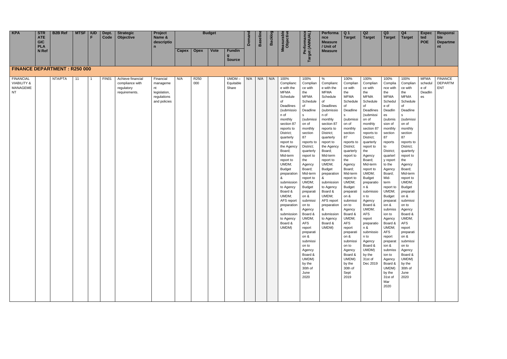| KPA | <b>STR</b><br><b>ATE</b><br><b>GIC</b><br><b>PLA</b> | <b>B2B Ref</b> | <b>MTSF</b> | <b>IUD</b> | Dept.<br>Code | <b>Strategic</b><br><b>Objective</b> | Project<br>Name &<br>descriptio<br>. . |       |             | <b>Budget</b> |               | ιo | $\sim$<br>π<br>$\mathbf{m}$ | n<br>$\mathbf{m}$ | O O<br>ם י | $\bullet$ | Performa<br>nce<br><b>Measure</b><br>/ Unit of | -Q 1<br><b>Target</b> | Q <sub>2</sub><br><b>Target</b> |  |
|-----|------------------------------------------------------|----------------|-------------|------------|---------------|--------------------------------------|----------------------------------------|-------|-------------|---------------|---------------|----|-----------------------------|-------------------|------------|-----------|------------------------------------------------|-----------------------|---------------------------------|--|
|     | N Ref                                                |                |             |            |               |                                      |                                        | Capex | <b>Opex</b> | <b>Vote</b>   | Fundin        |    |                             |                   |            |           | <b>Measure</b>                                 |                       |                                 |  |
|     |                                                      |                |             |            |               |                                      |                                        |       |             |               | <b>Source</b> |    |                             |                   |            | o         |                                                |                       |                                 |  |

| KPA                                                                                                        | <b>STR</b><br><b>ATE</b>          | <b>B2B Ref</b> | <b>MTSF</b> | <b>IUD</b><br>F | Dept.<br>Code | <b>Strategic</b><br>Objective                                       | Project<br>Name &                                                          |       |             | <b>Budget</b> |                                | Demand | <b>Baseline</b> | Backlog | leasurable<br>Objective                                                                                                                                                                                                                                                                                                                                                                      | Performance<br>Target (ANNUAL)                                                                                                                                                                                                                                                                                                                    | Performa<br>nce                                                                                                                                                                                                                                                                                                                                                                           | Q <sub>1</sub><br><b>Target</b>                                                                                                                                                                                                                                                                                                              | Q2<br><b>Target</b>                                                                                                                                                                                                                                                                                                                                                | Q3<br><b>Target</b>                                                                                                                                                                                                                                                                                                                   | Q4<br><b>Target</b>                                                                                                                                                                                                                                                                                                                               | <b>Expec</b><br>ted                             | Responsi<br>ble                                |
|------------------------------------------------------------------------------------------------------------|-----------------------------------|----------------|-------------|-----------------|---------------|---------------------------------------------------------------------|----------------------------------------------------------------------------|-------|-------------|---------------|--------------------------------|--------|-----------------|---------|----------------------------------------------------------------------------------------------------------------------------------------------------------------------------------------------------------------------------------------------------------------------------------------------------------------------------------------------------------------------------------------------|---------------------------------------------------------------------------------------------------------------------------------------------------------------------------------------------------------------------------------------------------------------------------------------------------------------------------------------------------|-------------------------------------------------------------------------------------------------------------------------------------------------------------------------------------------------------------------------------------------------------------------------------------------------------------------------------------------------------------------------------------------|----------------------------------------------------------------------------------------------------------------------------------------------------------------------------------------------------------------------------------------------------------------------------------------------------------------------------------------------|--------------------------------------------------------------------------------------------------------------------------------------------------------------------------------------------------------------------------------------------------------------------------------------------------------------------------------------------------------------------|---------------------------------------------------------------------------------------------------------------------------------------------------------------------------------------------------------------------------------------------------------------------------------------------------------------------------------------|---------------------------------------------------------------------------------------------------------------------------------------------------------------------------------------------------------------------------------------------------------------------------------------------------------------------------------------------------|-------------------------------------------------|------------------------------------------------|
|                                                                                                            | <b>GIC</b><br><b>PLA</b><br>N Ref |                |             |                 |               |                                                                     | descriptio<br>$\mathbf n$                                                  | Capex | <b>Opex</b> | <b>Vote</b>   | <b>Fundin</b>                  |        |                 |         | Σ                                                                                                                                                                                                                                                                                                                                                                                            |                                                                                                                                                                                                                                                                                                                                                   | <b>Measure</b><br>/ Unit of<br><b>Measure</b>                                                                                                                                                                                                                                                                                                                                             |                                                                                                                                                                                                                                                                                                                                              |                                                                                                                                                                                                                                                                                                                                                                    |                                                                                                                                                                                                                                                                                                                                       |                                                                                                                                                                                                                                                                                                                                                   | <b>POE</b>                                      | <b>Departme</b><br>nt                          |
|                                                                                                            |                                   |                |             |                 |               |                                                                     |                                                                            |       |             |               | <b>Source</b>                  |        |                 |         |                                                                                                                                                                                                                                                                                                                                                                                              |                                                                                                                                                                                                                                                                                                                                                   |                                                                                                                                                                                                                                                                                                                                                                                           |                                                                                                                                                                                                                                                                                                                                              |                                                                                                                                                                                                                                                                                                                                                                    |                                                                                                                                                                                                                                                                                                                                       |                                                                                                                                                                                                                                                                                                                                                   |                                                 |                                                |
|                                                                                                            |                                   |                |             |                 |               |                                                                     |                                                                            |       |             |               |                                |        |                 |         |                                                                                                                                                                                                                                                                                                                                                                                              |                                                                                                                                                                                                                                                                                                                                                   |                                                                                                                                                                                                                                                                                                                                                                                           |                                                                                                                                                                                                                                                                                                                                              |                                                                                                                                                                                                                                                                                                                                                                    |                                                                                                                                                                                                                                                                                                                                       |                                                                                                                                                                                                                                                                                                                                                   |                                                 |                                                |
|                                                                                                            |                                   |                |             |                 |               |                                                                     |                                                                            |       |             |               |                                |        |                 |         |                                                                                                                                                                                                                                                                                                                                                                                              |                                                                                                                                                                                                                                                                                                                                                   |                                                                                                                                                                                                                                                                                                                                                                                           |                                                                                                                                                                                                                                                                                                                                              |                                                                                                                                                                                                                                                                                                                                                                    |                                                                                                                                                                                                                                                                                                                                       |                                                                                                                                                                                                                                                                                                                                                   |                                                 |                                                |
| <b>FINANCE DEPARTMENT: R250 000</b><br><b>FINANCIAL</b><br><b>VIABILITY &amp;</b><br>MANAGEME<br><b>NT</b> |                                   | NTA/PTA        | 11          |                 | FIN01         | Achieve financial<br>compliance with<br>regulatory<br>requirements. | Financial<br>manageme<br>nt<br>legislation,<br>regulations<br>and policies | N/A   | R250<br>000 |               | $UMDM -$<br>Equitable<br>Share | N/A    | N/A             | N/A     | 100%<br>Complianc<br>e with the<br><b>MFMA</b><br>Schedule<br>of<br>Deadlines<br>(submissio<br>n of<br>monthly<br>section 87<br>reports to<br>District;<br>quarterly<br>report to<br>the Agency<br>Board;<br>Mid-term<br>report to<br>UMDM;<br><b>Budget</b><br>preparation<br>&<br>submission<br>to Agency<br>Board &<br>UMDM;<br>AFS report<br>preparation<br>&<br>submission<br>to Agency | 100%<br>Complian<br>ce with<br>the<br><b>MFMA</b><br>Schedule<br>of<br>Deadline<br>s<br>(submissi<br>on of<br>monthly<br>section<br>87<br>reports to<br>District;<br>quarterly<br>report to<br>the<br>Agency<br>Board;<br>Mid-term<br>report to<br>UMDM;<br><b>Budget</b><br>preparati<br>on &<br>submissi<br>on to<br>Agency<br>Board &<br>UMDM; | %<br>Complianc<br>e with the<br><b>MFMA</b><br>Schedule<br>of<br>Deadlines<br>(submissio<br>n of<br>monthly<br>section 87<br>reports to<br>District;<br>quarterly<br>report to<br>the Agency<br>Board;<br>Mid-term<br>report to<br>UMDM;<br><b>Budget</b><br>preparation<br>&<br>submission<br>to Agency<br>Board &<br>UMDM;<br>AFS report<br>preparation<br>&<br>submission<br>to Agency | 100%<br>Complian<br>ce with<br>the<br><b>MFMA</b><br>Schedule<br>of<br>Deadline<br>(submissi<br>on of<br>monthly<br>section<br>87<br>reports to<br>District;<br>quarterly<br>report to<br>the<br>Agency<br>Board;<br>Mid-term<br>report to<br>UMDM;<br><b>Budget</b><br>preparati<br>on &<br>submissi<br>on to<br>Agency<br>Board &<br>UMDM; | 100%<br>Complian<br>ce with<br>the<br><b>MFMA</b><br>Schedule<br>of<br>Deadlines<br>(submissi<br>on of<br>monthly<br>section 87<br>reports to<br>District;<br>quarterly<br>report to<br>the<br>Agency<br>Board;<br>Mid-term<br>report to<br>UMDM;<br><b>Budget</b><br>preparatio<br>n &<br>submissio<br>n to<br>Agency<br>Board &<br>UMDM;<br><b>AFS</b><br>report | 100%<br>Complia<br>nce with<br>the<br><b>MFMA</b><br>Schedu<br>e of<br>Deadlin<br>es<br>(submis<br>sion of<br>monthly<br>section<br>87<br>reports<br>to<br>District;<br>quarterl<br>y report<br>to the<br>Agency<br>Board;<br>Mid-<br>term<br>report to<br>UMDM;<br><b>Budget</b><br>preparat<br>ion &<br>submiss<br>ion to<br>Agency | 100%<br>Complian<br>ce with<br>the<br><b>MFMA</b><br>Schedule<br>οf<br>Deadline<br>s<br>(submissi<br>on of<br>monthly<br>section<br>87<br>reports to<br>District;<br>quarterly<br>report to<br>the<br>Agency<br>Board;<br>Mid-term<br>report to<br>UMDM;<br><b>Budget</b><br>preparati<br>on &<br>submissi<br>on to<br>Agency<br>Board &<br>UMDM; | <b>MFMA</b><br>schedul<br>e of<br>Deadlin<br>es | <b>FINANCE</b><br><b>DEPARTM</b><br><b>ENT</b> |
|                                                                                                            |                                   |                |             |                 |               |                                                                     |                                                                            |       |             |               |                                |        |                 |         | Board &<br>UMDM)                                                                                                                                                                                                                                                                                                                                                                             | AFS<br>report<br>preparati<br>on &<br>submissi<br>on to<br>Agency<br>Board &<br>UMDM)<br>by the<br>30th of<br>June<br>2020                                                                                                                                                                                                                        | Board &<br>UMDM)                                                                                                                                                                                                                                                                                                                                                                          | AFS<br>report<br>preparati<br>on &<br>submissi<br>on to<br>Agency<br>Board &<br>UMDM)<br>by the<br>30th of<br>Sept<br>2019                                                                                                                                                                                                                   | preparatio   Board &<br>n &<br>submissio<br>n to<br>Agency<br>Board &<br>UMDM)<br>by the<br>31st of<br>Dec 2019                                                                                                                                                                                                                                                    | UMDM;<br><b>AFS</b><br>report<br>preparat<br>ion &<br>submiss<br>ion to<br>Agency<br>Board &<br>UMDM)<br>by the<br>31st of<br>Mar<br>2020                                                                                                                                                                                             | AFS<br>report<br>preparati<br>on &<br>submissi<br>on to<br>Agency<br>Board &<br>UMDM)<br>by the<br>30th of<br>June<br>2020                                                                                                                                                                                                                        |                                                 |                                                |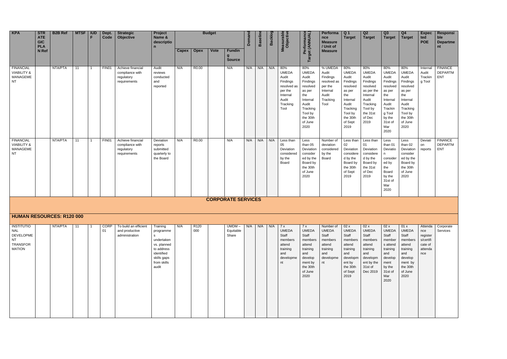| <b>KPA</b>                                                           | <b>STR</b><br><b>ATE</b><br><b>GIC</b><br><b>PLA</b> | <b>B2B Ref</b> | <b>MTSF</b> | <b>IUD</b><br>F | Dept.<br>Code | <b>Strategic</b><br><b>Objective</b>                               | Project<br>Name &<br>descriptio<br>$\mathsf{n}$                |              |             | <b>Budget</b> |                                     | Demand | <b>Baseline</b> | Backlog | Measurable<br>Objective                                                                                     | Performance<br>Target (ANNUAL)                                                                                                                   | <b>Performa</b><br><b>nce</b><br><b>Measure</b><br>/ Unit of                                    | Q <sub>1</sub><br><b>Target</b>                                                                                                                  | Q2<br><b>Target</b>                                                                                                                          |
|----------------------------------------------------------------------|------------------------------------------------------|----------------|-------------|-----------------|---------------|--------------------------------------------------------------------|----------------------------------------------------------------|--------------|-------------|---------------|-------------------------------------|--------|-----------------|---------|-------------------------------------------------------------------------------------------------------------|--------------------------------------------------------------------------------------------------------------------------------------------------|-------------------------------------------------------------------------------------------------|--------------------------------------------------------------------------------------------------------------------------------------------------|----------------------------------------------------------------------------------------------------------------------------------------------|
|                                                                      | N Ref                                                |                |             |                 |               |                                                                    |                                                                | <b>Capex</b> | <b>Opex</b> | <b>Vote</b>   | <b>Fundin</b><br>g<br><b>Source</b> |        |                 |         |                                                                                                             |                                                                                                                                                  | <b>Measure</b>                                                                                  |                                                                                                                                                  |                                                                                                                                              |
| <b>FINANCIAL</b><br><b>VIABILITY &amp;</b><br><b>MANAGEME</b><br>NT. |                                                      | NTA/PTA        | 11          | 1               | FIN01         | Achieve financial<br>compliance with<br>regulatory<br>requirements | Audit<br>reviews<br>conducted<br>and<br>reported               | N/A          | R0.00       |               | N/A                                 | N/A    | N/A             | N/A     | 80%<br><b>UMEDA</b><br>Audit<br>Findings<br>resolved as<br>per the<br>Internal<br>Audit<br>Tracking<br>Tool | 80%<br><b>UMEDA</b><br>Audit<br>Findings<br>resolved<br>as per<br>the<br>Internal<br>Audit<br>Tracking<br>Tool by<br>the 30th<br>of June<br>2020 | % UMEDA<br>Audit<br>Findings<br>resolved as<br>per the<br>Internal<br>Audit<br>Tracking<br>Tool | 80%<br><b>UMEDA</b><br>Audit<br>Findings<br>resolved<br>as per<br>the<br>Internal<br>Audit<br>Tracking<br>Tool by<br>the 30th<br>of Sept<br>2019 | 80%<br><b>UMEDA</b><br>Audit<br>Findings<br>resolved<br>as per the<br>Internal<br>Audit<br>Tracking<br>Tool by<br>the 31st<br>of Dec<br>2019 |
| <b>FINANCIAL</b><br><b>VIABILITY &amp;</b><br>MANAGEME<br><b>NT</b>  |                                                      | NTA/PTA        | 11          | 1               | FIN01         | Achieve financial<br>compliance with<br>regulatory<br>requirements | Deviation<br>reports<br>submitted<br>quarterly to<br>the Board | N/A          | R0.00       |               | N/A                                 | N/A    | N/A             | N/A     | Less than<br>05<br>Deviation<br>considered<br>by the<br>Board                                               | Less<br>than 05<br>Deviation<br>consider<br>ed by the<br>Board by<br>the 30th<br>of June<br>2020                                                 | Number of<br>deviation<br>considered<br>by the<br>Board                                         | Less than<br>$02\,$<br>Deviation<br>considere<br>d by the<br>Board by<br>the 30th<br>of Sept<br>2019                                             | Less than<br>01<br>Deviation<br>considere<br>d by the<br>Board by<br>the 31st<br>of Dec<br>2019                                              |
|                                                                      |                                                      |                |             |                 |               |                                                                    |                                                                |              |             |               | <b>CORPORATE SERVICES</b>           |        |                 |         |                                                                                                             |                                                                                                                                                  |                                                                                                 |                                                                                                                                                  |                                                                                                                                              |

| Q3<br><b>Target</b>                                                                                                                                 | Q4<br><b>Target</b>                                                                                                                              | <b>Expec</b><br>ted<br><b>POE</b>                                    | Responsi<br>ble<br><b>Departme</b><br>nt       |
|-----------------------------------------------------------------------------------------------------------------------------------------------------|--------------------------------------------------------------------------------------------------------------------------------------------------|----------------------------------------------------------------------|------------------------------------------------|
| 80%<br><b>UMEDA</b><br>Audit<br>Findings<br>resolved<br>as per<br>the<br>Internal<br>Audit<br>Trackin<br>g Tool<br>by the<br>31st of<br>Mar<br>2020 | 80%<br><b>UMEDA</b><br>Audit<br>Findings<br>resolved<br>as per<br>the<br>Internal<br>Audit<br>Tracking<br>Tool by<br>the 30th<br>of June<br>2020 | Internal<br>Audit<br>Trackin<br>g Tool                               | <b>FINANCE</b><br><b>DEPARTM</b><br><b>ENT</b> |
| Less<br>than 01<br>Deviatio<br>n<br>consider<br>ed by<br>the<br>Board<br>by the<br>31st of<br>Mar<br>2020                                           | Less<br>than 02<br>Deviation<br>consider<br>ed by the<br>Board by<br>the 30th<br>of June<br>2020                                                 | Deviati<br>on<br>reports                                             | <b>FINANCE</b><br><b>DEPARTM</b><br><b>ENT</b> |
|                                                                                                                                                     |                                                                                                                                                  |                                                                      |                                                |
|                                                                                                                                                     |                                                                                                                                                  |                                                                      |                                                |
| 02x<br>UMEDA<br>Staff<br>member<br>s attend<br>training<br>and<br>develop<br>ment<br>by the<br>31st of<br>Mar<br>2020                               | 01 x<br><b>UMEDA</b><br>Staff<br>members<br>attend<br>training<br>and<br>develop<br>ment by<br>the 30th<br>of June<br>2020                       | Attenda<br>nce<br>register<br>s/certifi<br>cate of<br>attenda<br>nce | Corporate<br>Services                          |

## **HUMAN RESOURCES: R120 000**

| INSTITUTIO | NTA/PTA | 11 | <b>CORP</b> | To build an efficient | Training    | N/A | R <sub>120</sub> | $UMDM -$  | N/A | N/A | N/A | 7x           | 7x           | Number of    | 02 x         | 02x          |
|------------|---------|----|-------------|-----------------------|-------------|-----|------------------|-----------|-----|-----|-----|--------------|--------------|--------------|--------------|--------------|
| NAL        |         |    | 01          | and productive        | programme   |     | 000              | Equitable |     |     |     | <b>UMEDA</b> | <b>UMEDA</b> | <b>UMEDA</b> | <b>UMEDA</b> | <b>UMEDA</b> |
| DEVELOPME  |         |    |             | administration        | s           |     |                  | Share     |     |     |     | Staff        | Staff        | Staff        | Staff        | Staff        |
| <b>NT</b>  |         |    |             |                       | undertaken  |     |                  |           |     |     |     | members      | members      | members      | members      | members      |
| TRANSFOR   |         |    |             |                       | vs. planned |     |                  |           |     |     |     | attend       | attend       | attend       | attend       | attend       |
| MATION     |         |    |             |                       | to address  |     |                  |           |     |     |     | training     | training     | training     | training     | training     |
|            |         |    |             |                       | identified  |     |                  |           |     |     |     | and          | and          | and          | and          | and          |
|            |         |    |             |                       | skills gaps |     |                  |           |     |     |     | developme    | develop      | developme    | developm     | developm     |
|            |         |    |             |                       | from skills |     |                  |           |     |     |     | nt           | ment by      | nt           | ent by       | ent by the   |
|            |         |    |             |                       | audit       |     |                  |           |     |     |     |              | the 30th     |              | the 30th     | 31st of      |
|            |         |    |             |                       |             |     |                  |           |     |     |     |              | of June      |              | of Sept      | Dec 2019     |
|            |         |    |             |                       |             |     |                  |           |     |     |     |              | 2020         |              | 2019         |              |
|            |         |    |             |                       |             |     |                  |           |     |     |     |              |              |              |              |              |
|            |         |    |             |                       |             |     |                  |           |     |     |     |              |              |              |              |              |
|            |         |    |             |                       |             |     |                  |           |     |     |     |              |              |              |              |              |
|            |         |    |             |                       |             |     |                  |           |     |     |     |              |              |              |              |              |
|            |         |    |             |                       |             |     |                  |           |     |     |     |              |              |              |              |              |
|            |         |    |             |                       |             |     |                  |           |     |     |     |              |              |              |              |              |
|            |         |    |             |                       |             |     |                  |           |     |     |     |              |              |              |              |              |
|            |         |    |             |                       |             |     |                  |           |     |     |     |              |              |              |              |              |
|            |         |    |             |                       |             |     |                  |           |     |     |     |              |              |              |              |              |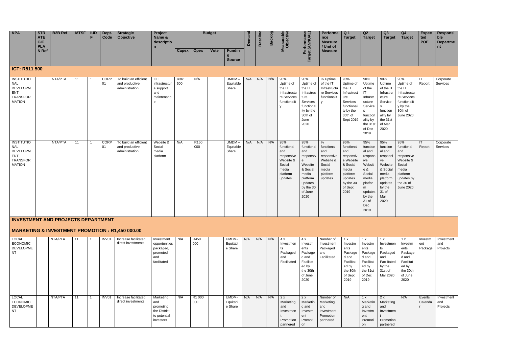| KPA | <b>STR</b><br><b>ATE</b><br><b>GIC</b><br><b>PLA</b> | <b>B2B Ref</b> | <b>MTSF</b> | <b>IUD</b> | Dept.<br>Code | <b>Strategic</b><br><b>Objective</b> | Project<br>Name &<br>descriptio<br>-- |       |             | <b>Budget</b> |                                | $\sim$<br>-<br>m<br>$\overline{c}$<br>π | $\overline{\mathbf{v}}$<br>ത<br>m | ດາ ດາ<br>י מ<br>ഗ്ര<br><u>ສ ດ</u> | $\bullet$ $\frown$ | Performa<br>nce<br><b>Measure</b><br>/ Unit of | l Q 1<br>Target | Q <sub>2</sub><br><b>Target</b> |  |
|-----|------------------------------------------------------|----------------|-------------|------------|---------------|--------------------------------------|---------------------------------------|-------|-------------|---------------|--------------------------------|-----------------------------------------|-----------------------------------|-----------------------------------|--------------------|------------------------------------------------|-----------------|---------------------------------|--|
|     | N Ref                                                |                |             |            |               |                                      |                                       | Capex | <b>Opex</b> | <b>Vote</b>   | <b>Fundin</b><br><b>Source</b> |                                         |                                   |                                   |                    | <b>Measure</b>                                 |                 |                                 |  |

# **ICT: R511 500**

| <b>INSTITUTIO</b> | NTA/PTA | 11 |                         | CORP        | To build an efficient | ICT           | R361 | N/A              | $UMDM -$  | N/A | N/A | N/A | 90%          | 90%        | $%$ Uptime   | 90%         | 90%       | 9              |
|-------------------|---------|----|-------------------------|-------------|-----------------------|---------------|------|------------------|-----------|-----|-----|-----|--------------|------------|--------------|-------------|-----------|----------------|
| <b>NAL</b>        |         |    |                         | 01          | and productive        | infrastructur | 500  |                  | Equitable |     |     |     | Uptime of    | Uptime of  | of the IT    | Uptime of   | Uptime    |                |
| <b>DEVELOPM</b>   |         |    |                         |             | administration        | e support     |      |                  | Share     |     |     |     | the IT       | the IT     | Infrastructu | the IT      | of the    |                |
| ENT               |         |    |                         |             |                       | and           |      |                  |           |     |     |     | Infrastructu | Infrastruc | re Services  | Infrastruct | <b>IT</b> |                |
| <b>TRANSFOR</b>   |         |    |                         |             |                       | maintenanc    |      |                  |           |     |     |     | re Services  | ture       | functionalit | ure         | Infrastr  |                |
| <b>MATION</b>     |         |    |                         |             |                       | e             |      |                  |           |     |     |     | functionalit | Services   |              | Services    | ucture    |                |
|                   |         |    |                         |             |                       |               |      |                  |           |     |     |     | y            | functional |              | functionali | Service   |                |
|                   |         |    |                         |             |                       |               |      |                  |           |     |     |     |              | ity by the |              | ty by the   | s         |                |
|                   |         |    |                         |             |                       |               |      |                  |           |     |     |     |              | 30th of    |              | 30th of     | function  |                |
|                   |         |    |                         |             |                       |               |      |                  |           |     |     |     |              | June       |              | Sept 2019   | ality by  |                |
|                   |         |    |                         |             |                       |               |      |                  |           |     |     |     |              | 2020       |              |             | the 31st  | $\Omega$       |
|                   |         |    |                         |             |                       |               |      |                  |           |     |     |     |              |            |              |             | of Dec    |                |
|                   |         |    |                         |             |                       |               |      |                  |           |     |     |     |              |            |              |             | 2019      |                |
|                   |         |    |                         |             |                       |               |      |                  |           |     |     |     |              |            |              |             |           |                |
| <b>INSTITUTIO</b> | NTA/PTA | 11 | $\overline{\mathbf{1}}$ | <b>CORP</b> | To build an efficient | Website &     | N/A  | R <sub>150</sub> | $UMDM -$  | N/A | N/A | N/A | 95%          | 95%        | %            | 95%         | 95%       | 9              |
| <b>NAL</b>        |         |    |                         | 01          | and productive        | Social        |      | 000              | Equitable |     |     |     | functional   | functional | functional   | functional  | function  |                |
| <b>DEVELOPM</b>   |         |    |                         |             | administration        | media         |      |                  | Share     |     |     |     | and          | and        | and          | and         | al and    |                |
| <b>ENT</b>        |         |    |                         |             |                       | platform      |      |                  |           |     |     |     | responsive   | responsiv  | responsive   | responsiv   | respons   |                |
| <b>TRANSFOR</b>   |         |    |                         |             |                       |               |      |                  |           |     |     |     | Website &    | e          | Website &    | e Website   | ive       |                |
| <b>MATION</b>     |         |    |                         |             |                       |               |      |                  |           |     |     |     | Social       | Website    | Social       | & Social    | Websit    |                |
|                   |         |    |                         |             |                       |               |      |                  |           |     |     |     | media        | & Social   | media        | media       | e &       |                |
|                   |         |    |                         |             |                       |               |      |                  |           |     |     |     | platform     | media      | platform     | platform    | Social    |                |
|                   |         |    |                         |             |                       |               |      |                  |           |     |     |     | updates      | platform   | updates      | updates     | media     |                |
|                   |         |    |                         |             |                       |               |      |                  |           |     |     |     |              | updates    |              | by the 30   | platfor   |                |
|                   |         |    |                         |             |                       |               |      |                  |           |     |     |     |              | by the 30  |              | of Sept     | m         |                |
|                   |         |    |                         |             |                       |               |      |                  |           |     |     |     |              | of June    |              | 2019        | updates   |                |
|                   |         |    |                         |             |                       |               |      |                  |           |     |     |     |              | 2020       |              |             | by the    |                |
|                   |         |    |                         |             |                       |               |      |                  |           |     |     |     |              |            |              |             | 31 of     | $\overline{2}$ |
|                   |         |    |                         |             |                       |               |      |                  |           |     |     |     |              |            |              |             | Dec       |                |
|                   |         |    |                         |             |                       |               |      |                  |           |     |     |     |              |            |              |             | 2019      |                |
|                   |         |    |                         |             |                       |               |      |                  |           |     |     |     |              |            |              |             |           |                |
|                   |         |    |                         |             |                       |               |      |                  |           |     |     |     |              |            |              |             |           |                |

## **INVESTMENT AND PROJECTS DEPARTMENT**

# **MARKETING & INVESTMENT PROMOTION : R1,450 000.00**

| <b>LOCAL</b>     | NTA/PTA | 11 | INV01 | Increase facilitated | Investment    | N/A | R450   | UMDM-    | N/A | N/A | N/A | 4 x         | 4x        | Number of   | 1 x       | l x       |                |
|------------------|---------|----|-------|----------------------|---------------|-----|--------|----------|-----|-----|-----|-------------|-----------|-------------|-----------|-----------|----------------|
| <b>ECONOMIC</b>  |         |    |       | direct investments.  | opportunities |     | 000    | Equitabl |     |     |     | Investmen   | Investm   | Investment  | Investm   | Investm   | In.            |
| <b>DEVELOPME</b> |         |    |       |                      | packaged,     |     |        | e Share  |     |     |     | ts          | ents      | Packaged    | ents      | ents      | ts             |
| NT               |         |    |       |                      | promoted      |     |        |          |     |     |     | Packaged    | Package   | and         | Package   | Package   | P <sub>i</sub> |
|                  |         |    |       |                      | and           |     |        |          |     |     |     | and         | d and     | Facilitated | d and     | d and     | ar             |
|                  |         |    |       |                      | facilitated   |     |        |          |     |     |     | Facilitated | Facilitat |             | Facilitat | Facilitat | Fε             |
|                  |         |    |       |                      |               |     |        |          |     |     |     |             | ed by     |             | ed by     | ed by     | by             |
|                  |         |    |       |                      |               |     |        |          |     |     |     |             | the 30th  |             | the 30th  | the 31st  | 31             |
|                  |         |    |       |                      |               |     |        |          |     |     |     |             | of June   |             | of Sept   | of Dec    | M              |
|                  |         |    |       |                      |               |     |        |          |     |     |     |             | 2020      |             | 2019      | 2019      |                |
|                  |         |    |       |                      |               |     |        |          |     |     |     |             |           |             |           |           |                |
|                  |         |    |       |                      |               |     |        |          |     |     |     |             |           |             |           |           |                |
|                  |         |    |       |                      |               |     |        |          |     |     |     |             |           |             |           |           |                |
| <b>LOCAL</b>     | NTA/PTA | 11 | INV01 | Increase facilitated | Marketing     | N/A | R1 000 | UMDM-    | N/A | N/A | N/A | 2x          | 2x        | Number of   | N/A       | 1 x       | 2:             |
| <b>ECONOMIC</b>  |         |    |       | direct investments.  | and           |     | 000    | Equitabl |     |     |     | Marketing   | Marketin  | Marketing   |           | Marketin  | M              |
| <b>DEVELOPME</b> |         |    |       |                      | promoting     |     |        | e Share  |     |     |     | and         | g and     | and         |           | g and     | ar             |
| <b>NT</b>        |         |    |       |                      | the District  |     |        |          |     |     |     | Investmen   | Investm   | Investment  |           | Investm   |                |
|                  |         |    |       |                      | to potential  |     |        |          |     |     |     |             | ent       | Promotion   |           | ent       |                |
|                  |         |    |       |                      | investors     |     |        |          |     |     |     | Promotion   | Promoti   | partnered   |           | Promoti   | Pr             |
|                  |         |    |       |                      |               |     |        |          |     |     |     | partnered   | on        |             |           | on        | pa             |

| Q3<br><b>Target</b>                                                                                      | Q <sub>4</sub><br><b>Target</b>                                                                                            | <b>Expec</b><br>ted<br><b>POE</b> | <b>Responsi</b><br>ble<br><b>Departme</b><br>nt |
|----------------------------------------------------------------------------------------------------------|----------------------------------------------------------------------------------------------------------------------------|-----------------------------------|-------------------------------------------------|
|                                                                                                          |                                                                                                                            |                                   |                                                 |
| $\frac{9}{6}$<br>otime<br>the IT<br>frastru<br>ure<br>ervice<br>nction<br>ity by<br>e 31st<br>Mar<br>)20 | 90%<br>Uptime of<br>the IT<br>Infrastructu<br>re Services<br>functionalit<br>y by the<br>30th of<br>June 2020              | ΙT<br>Report                      | Corporate<br>Services                           |
| 5%<br>nction<br>and<br>sponsi<br>ebsite<br>Social<br>edia<br>atform<br>dates<br>the<br>∣of<br>ar<br>)20  | 95%<br>functional<br>and<br>responsive<br>Website &<br>Social<br>media<br>platform<br>updates by<br>the 30 of<br>June 2020 | IT<br>Report                      | Corporate<br>Services                           |
|                                                                                                          |                                                                                                                            |                                   |                                                 |
|                                                                                                          |                                                                                                                            |                                   |                                                 |
| x<br>vestmen<br>ackaged<br>١d<br>acilitated<br>the<br>st of<br>ar 2020                                   | 1 x<br>Investm<br>ents<br>Package<br>d and<br>Facilitat<br>ed by<br>the 30th<br>of June<br>2020                            | Investm<br>ent<br>Package         | Investment<br>and<br>Projects                   |
| X<br>arketing<br>١d<br>vestmen<br>omotion                                                                | N/A                                                                                                                        | Events<br>Calenda<br>r            | Investment<br>and<br>Projects                   |
| urtnered                                                                                                 |                                                                                                                            |                                   |                                                 |